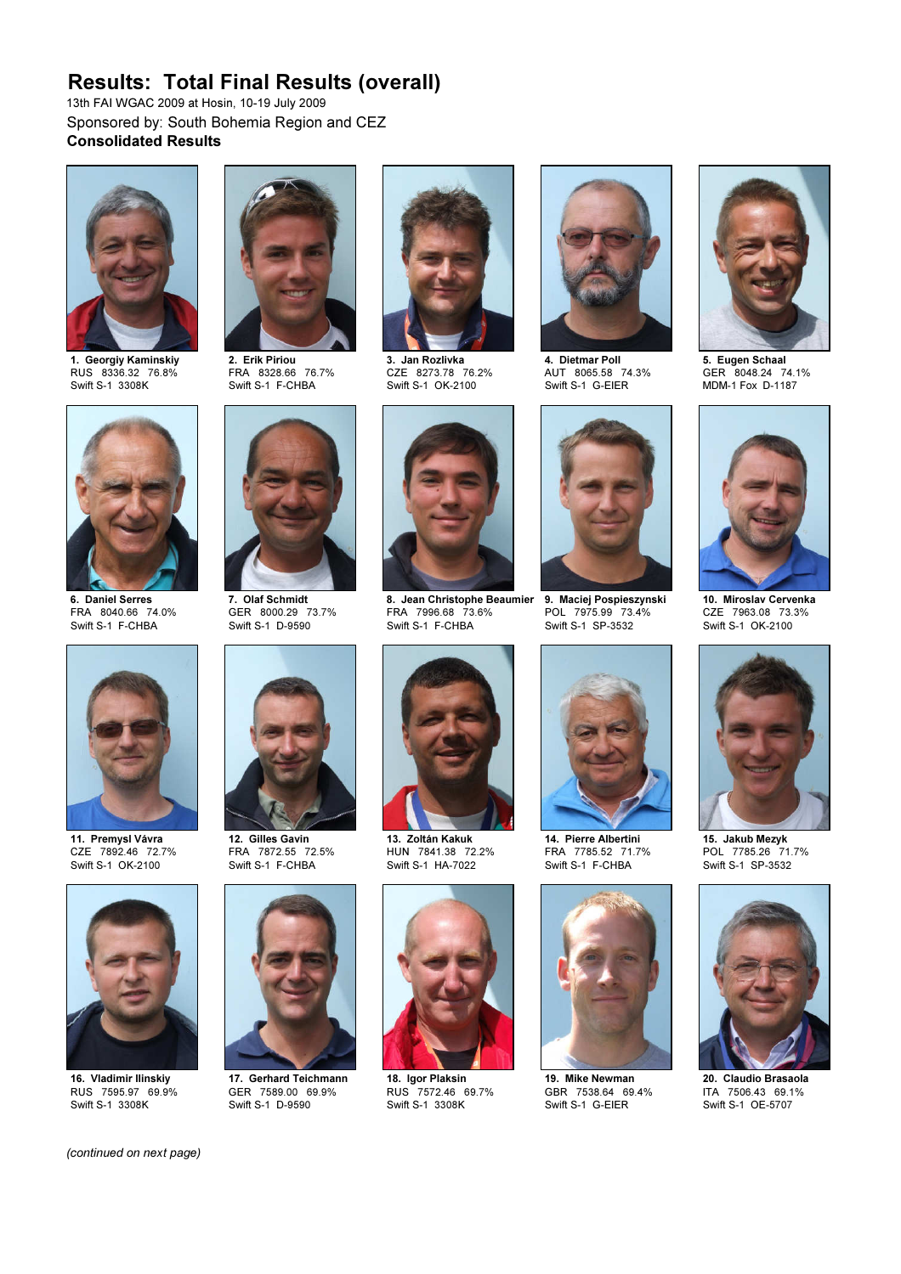## Results: Total Final Results (overall)

13th FAI WGAC 2009 at Hosin, 10-19 July 2009 Sponsored by: South Bohemia Region and CEZ Consolidated Results



1. Georgiy Kaminskiy RUS 8336.32 76.8% Swift S-1 3308K



2. Erik Piriou FRA 8328.66 76.7% Swift S-1 F-CHBA



3. Jan Rozlivka CZE 8273.78 76.2% Swift S-1 OK-2100



4. Dietmar Poll AUT 8065.58 74.3% Swift S-1 G-EIER



5. Eugen Schaal GER 8048.24 74.1% MDM-1 Fox D-1187



6. Daniel Serres FRA 8040.66 74.0% Swift S-1 F-CHBA



11. Premysl Vávra CZE 7892.46 72.7% Swift S-1 OK-2100



16. Vladimir Ilinskiy RUS 7595.97 69.9% Swift S-1 3308K



GER 8000.29 73.7% Swift S-1 D-9590



12. Gilles Gavin FRA 7872.55 72.5% Swift S-1 F-CHBA



17. Gerhard Teichmann GER 7589.00 69.9% Swift S-1 D-9590



8. Jean Christophe Beaumier FRA 7996.68 73.6% 9. Maciej Pospieszynski POL 7975.99 73.4% Swift S-1 F-CHBA



13. Zoltán Kakuk HUN 7841.38 72.2% Swift S-1 HA-7022



18. Igor Plaksin RUS 7572.46 69.7% Swift S-1 3308K



Swift S-1 SP-3532



14. Pierre Albertini FRA 7785.52 71.7% Swift S-1 F-CHBA



19. Mike Newman GBR 7538.64 69.4% Swift S-1 G-EIER



10. Miroslav Cervenka CZE 7963.08 73.3% Swift S-1 OK-2100



15. Jakub Mezyk POL 7785.26 71.7% Swift S-1 SP-3532



20. Claudio Brasaola ITA 7506.43 69.1% Swift S-1 OE-5707

(continued on next page)